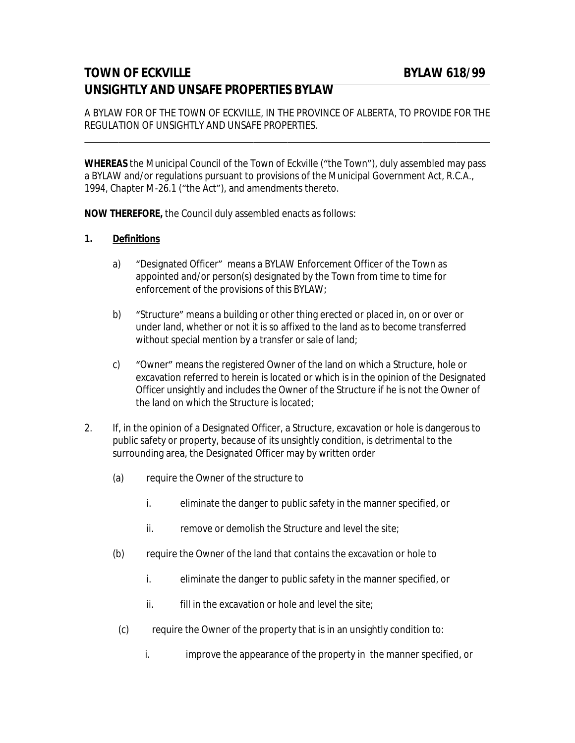## **TOWN OF ECKVILLE** BYLAW 618/99 **UNSIGHTLY AND UNSAFE PROPERTIES BYLAW**

A BYLAW FOR OF THE TOWN OF ECKVILLE, IN THE PROVINCE OF ALBERTA, TO PROVIDE FOR THE REGULATION OF UNSIGHTLY AND UNSAFE PROPERTIES.

**WHEREAS** the Municipal Council of the Town of Eckville ("the Town"), duly assembled may pass a BYLAW and/or regulations pursuant to provisions of the Municipal Government Act, R.C.A., 1994, Chapter M-26.1 ("the Act"), and amendments thereto.

**NOW THEREFORE,** the Council duly assembled enacts as follows:

## **1. Definitions**

 $\overline{a}$ 

- a) "Designated Officer" means a BYLAW Enforcement Officer of the Town as appointed and/or person(s) designated by the Town from time to time for enforcement of the provisions of this BYLAW;
- b) "Structure" means a building or other thing erected or placed in, on or over or under land, whether or not it is so affixed to the land as to become transferred without special mention by a transfer or sale of land;
- c) "Owner" means the registered Owner of the land on which a Structure, hole or excavation referred to herein is located or which is in the opinion of the Designated Officer unsightly and includes the Owner of the Structure if he is not the Owner of the land on which the Structure is located;
- 2. If, in the opinion of a Designated Officer, a Structure, excavation or hole is dangerous to public safety or property, because of its unsightly condition, is detrimental to the surrounding area, the Designated Officer may by written order
	- (a) require the Owner of the structure to
		- i. eliminate the danger to public safety in the manner specified, or
		- ii. remove or demolish the Structure and level the site;
	- (b) require the Owner of the land that contains the excavation or hole to
		- i. eliminate the danger to public safety in the manner specified, or
		- ii. fill in the excavation or hole and level the site;
	- (c) require the Owner of the property that is in an unsightly condition to:
		- i. improve the appearance of the property in the manner specified, or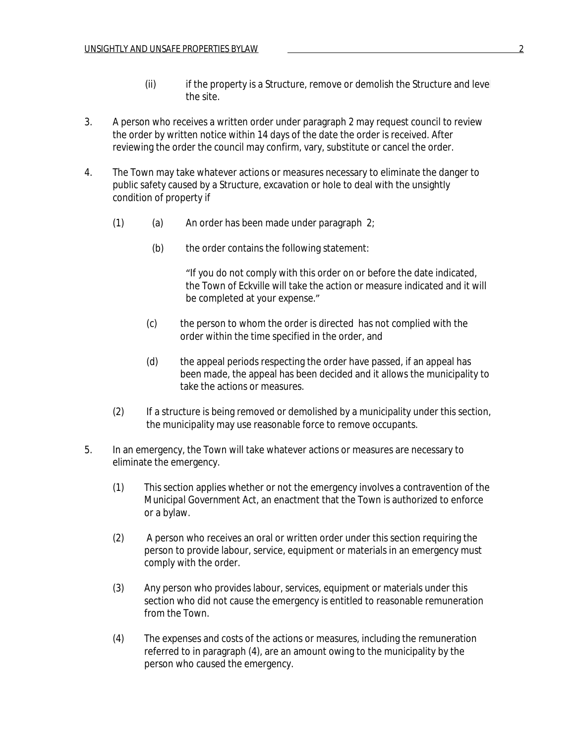- (ii) if the property is a Structure, remove or demolish the Structure and level the site.
- 3. A person who receives a written order under paragraph 2 may request council to review the order by written notice within 14 days of the date the order is received. After reviewing the order the council may confirm, vary, substitute or cancel the order.
- 4. The Town may take whatever actions or measures necessary to eliminate the danger to public safety caused by a Structure, excavation or hole to deal with the unsightly condition of property if
	- (1) (a) An order has been made under paragraph  $2$ ;
		- (b) the order contains the following statement:

"If you do not comply with this order on or before the date indicated, the Town of Eckville will take the action or measure indicated and it will be completed at your expense."

- (c) the person to whom the order is directed has not complied with the order within the time specified in the order, and
- (d) the appeal periods respecting the order have passed, if an appeal has been made, the appeal has been decided and it allows the municipality to take the actions or measures.
- (2) If a structure is being removed or demolished by a municipality under this section, the municipality may use reasonable force to remove occupants.
- 5. In an emergency, the Town will take whatever actions or measures are necessary to eliminate the emergency.
	- (1) This section applies whether or not the emergency involves a contravention of the *Municipal Government Act*, an enactment that the Town is authorized to enforce or a bylaw.
	- (2) A person who receives an oral or written order under this section requiring the person to provide labour, service, equipment or materials in an emergency must comply with the order.
	- (3) Any person who provides labour, services, equipment or materials under this section who did not cause the emergency is entitled to reasonable remuneration from the Town.
	- (4) The expenses and costs of the actions or measures, including the remuneration referred to in paragraph (4), are an amount owing to the municipality by the person who caused the emergency.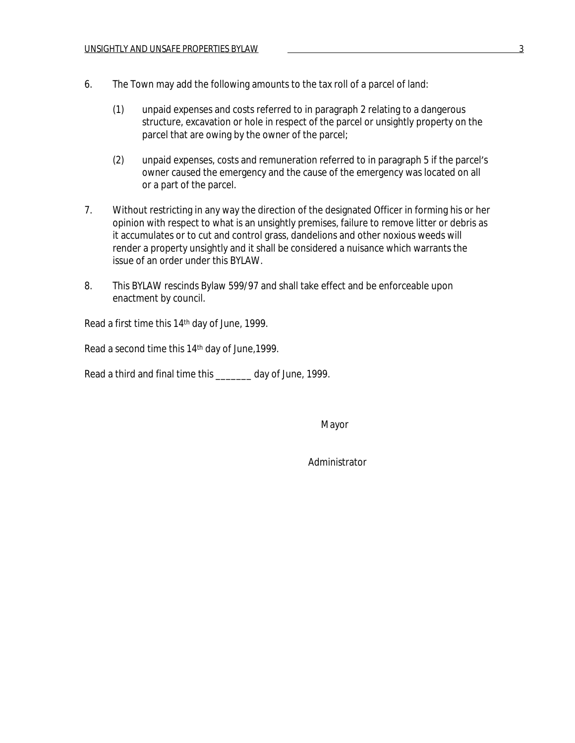- 6. The Town may add the following amounts to the tax roll of a parcel of land:
	- (1) unpaid expenses and costs referred to in paragraph 2 relating to a dangerous structure, excavation or hole in respect of the parcel or unsightly property on the parcel that are owing by the owner of the parcel;
	- (2) unpaid expenses, costs and remuneration referred to in paragraph 5 if the parcel's owner caused the emergency and the cause of the emergency was located on all or a part of the parcel.
- 7. Without restricting in any way the direction of the designated Officer in forming his or her opinion with respect to what is an unsightly premises, failure to remove litter or debris as it accumulates or to cut and control grass, dandelions and other noxious weeds will render a property unsightly and it shall be considered a nuisance which warrants the issue of an order under this BYLAW.
- 8. This BYLAW rescinds Bylaw 599/97 and shall take effect and be enforceable upon enactment by council.

Read a first time this 14th day of June, 1999.

Read a second time this 14th day of June,1999.

Read a third and final time this \_\_\_\_\_\_\_ day of June, 1999.

Mayor

Administrator